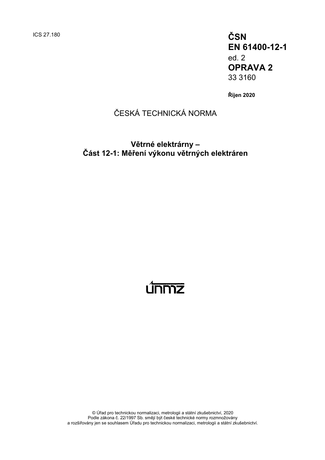ICS 27.180 **ČSN EN 61400-12-1**  ed. 2 **OPRAVA 2** 33 3160

**Říjen 2020**

### ČESKÁ TECHNICKÁ NORMA

#### **Větrné elektrárny – Část 12-1: Měření výkonu větrných elektráren**

# <u>únniz</u>

© Úřad pro technickou normalizaci, metrologii a státní zkušebnictví, 2020 Podle zákona č. 22/1997 Sb. smějí být české technické normy rozmnožovány a rozšiřovány jen se souhlasem Úřadu pro technickou normalizaci, metrologii a státní zkušebnictví.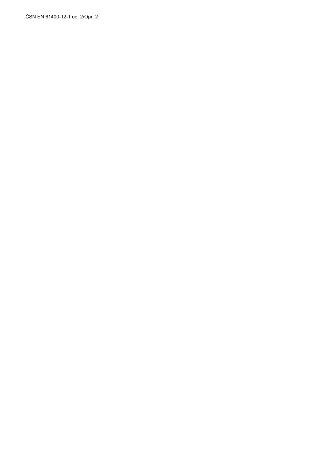ČSN EN 61400-12-1 ed. 2/Opr. 2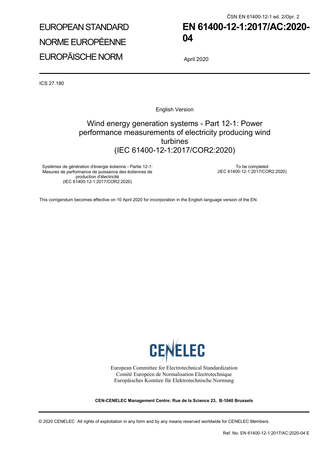# EUROPEAN STANDARD NORME EUROPÉENNE EUROPÄISCHE NORM

## **EN 61400-12-1:2017/AC:2020- 04**

April 2020

ICS 27.180

English Version

#### Wind energy generation systems - Part 12-1: Power performance measurements of electricity producing wind turbines (IEC 61400-12-1:2017/COR2:2020)

Systèmes de génération d'énergie éolienne - Partie 12-1: Mesures de performance de puissance des éoliennes de production d'électricité (IEC 61400-12-1:2017/COR2:2020)

 To be completed (IEC 61400-12-1:2017/COR2:2020)

This corrigendum becomes effective on 10 April 2020 for incorporation in the English language version of the EN.



European Committee for Electrotechnical Standardization Comité Européen de Normalisation Electrotechnique Europäisches Komitee für Elektrotechnische Normung

**CEN-CENELEC Management Centre: Rue de la Science 23, B-1040 Brussels** 

© 2020 CENELEC All rights of exploitation in any form and by any means reserved worldwide for CENELEC Members.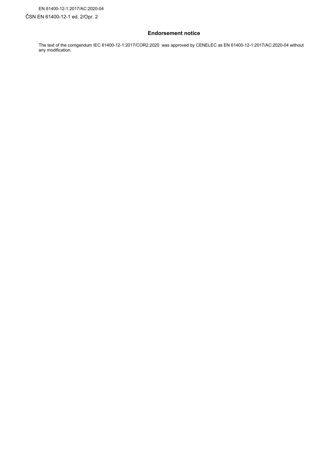EN 61400-12-1:2017/AC:2020-04

ČSN EN 61400-12-1 ed. 2/Opr. 2

#### **Endorsement notice**

The text of the corrigendum IEC 61400-12-1:2017/COR2:2020 was approved by CENELEC as EN 61400-12-1:2017/AC:2020-04 without any modification.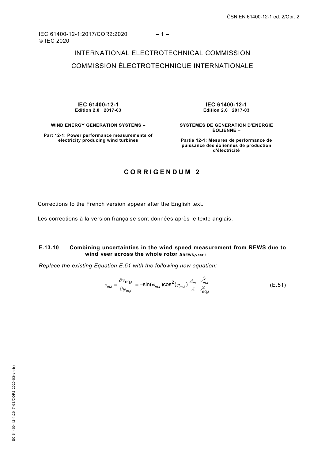IEC 61400-12-1:2017/COR2:2020 – 1 – © IEC 2020

### INTERNATIONAL ELECTROTECHNICAL COMMISSION COMMISSION ÉLECTROTECHNIQUE INTERNATIONALE

\_\_\_\_\_\_\_\_\_\_\_\_

**IEC 61400-12-1 Edition 2.0 2017-03**

**WIND ENERGY GENERATION SYSTEMS –** 

**Part 12-1: Power performance measurements of electricity producing wind turbines**

**IEC 61400-12-1 Edition 2.0 2017-03**

**SYSTÈMES DE GÉNÉRATION D'ÉNERGIE ÉOLIENNE –** 

**Partie 12-1: Mesures de performance de puissance des éoliennes de production d'électricité**

#### **CORRIGENDUM 2**

Corrections to the French version appear after the English text.

Les corrections à la version française sont données après le texte anglais.

#### **E.13.10 Combining uncertainties in the wind speed measurement from REWS due to** wind veer across the whole rotor  $u_{REWS,veer,i}$

*Replace the existing Equation E.51 with the following new equation:*

$$
c_{m,i} = \frac{\partial v_{\text{eq},i}}{\partial \varphi_{m,i}} = -\sin(\varphi_{m,i})\cos^2(\varphi_{m,i})\frac{A_m}{A} \frac{v_{m,i}^3}{v_{\text{eq},i}^2}
$$
(E.51)